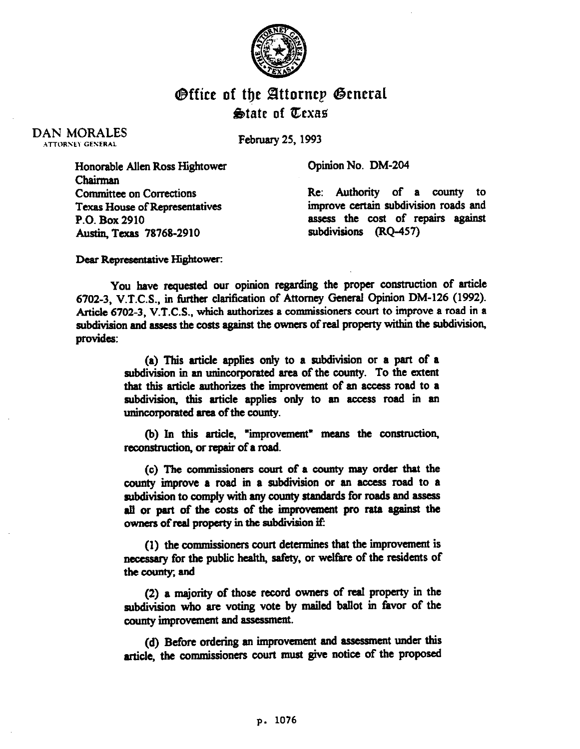

## **O**ffice of the Attorney Genera State of Texas

DAN MORALES **ATTORNEY GENERAL** 

February 25.1993

Opinion No. DM-204

Honorable Allen Ross Hightower Chairman Committee on Corrections Texas House of Representatives P.O. Box 2910 Austin Texas 78768-2910

Re: Authority of a county to improve certain subdivision roads and assess the cost of repairs against subdivisions (RQ-457)

Dear Representative Hightower:

You have requested our opinion regarding the proper construction of article 6702-3, V.T.C.S., in further clarification of Attorney General Opinion DM-126 (1992). Article 6702-3, V.T.C.S., which authorizes a commissioners court to improve a road in a subdivision and assess the costs against the owners of real property within the subdivision, provides:

> (a) This article applies only to a subdivision or a part of a subdivision in an unincorporated area of the county. To the extent that this article authorizes the improvement of an access road to a subdivision, this article applies only to an access road in an unincorporated area of the county.

> (b) In this article, "improvement" means the construction, reconstruction, or repair of a road.

> (c) The commissioners court of a county may order that the county improve a road in a subdivision or an access road to a subdivision to comply with any county standards for roads and assess all or part of the costs of the improvement pro rata against the owners of real property in the subdivision if:

> (I) the wmmissioners court determines that the improvement is necessary for the public health, safety, or welfare of the residents of the county; and

> (2) a majority of those record owners of real property in the subdivision who are voting vote by mailed ballot in favor of the county improvement and assessment.

> (a) Before ordering an improvement and assessment under this article, the commissioners court must give notice of the proposed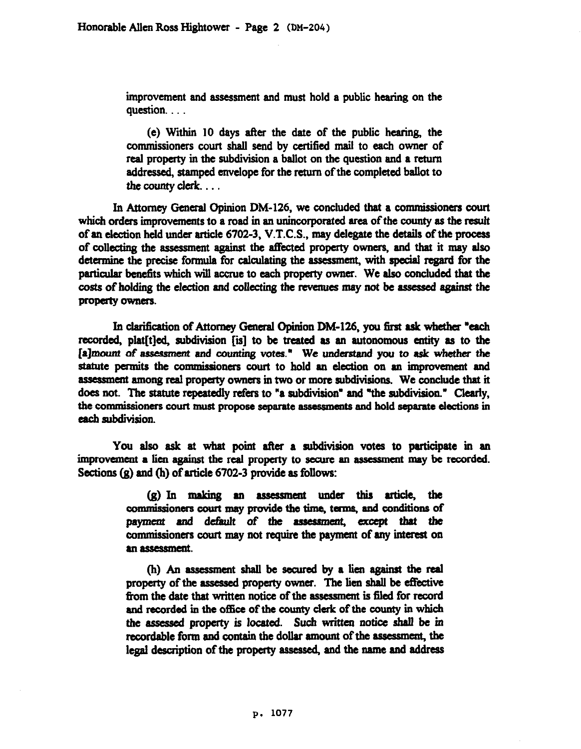improvement and assessment and must hold a public hearing on the question...

(e) Within 10 days after the date of the public hearing, the commissioners court shall send by certified mail to each owner of real property in the subdivision a ballot on the question and a return addressed, stamped envelope for the return of the completed ballot to the county clerk....

In Attorney General Opinion DM-126, we concluded that a commissioners court which orders improvements to a road in an unincorporated area of the county as the result of an election held under article 6702-3, V.T.C.S.. may delegate the details of the process of collecting the assessment against the affected property owners, and that it may also determine the precise formula for calculating the assessment, with special regard for the particular benefits which will accrue to each property owner. We also concluded that the costs of holding the election and collecting the revenues may not be assessed against the property owners.

In clarification of Attorney General Opinion DM-126, you first ask whether "each recorded. plat[t]ed, subdivision [is] to be treated as an autonomous entity as to the [a]mount of assessment and counting votes." We understand you to ask whether the statute permits the commissioners court to hold an election on an improvement and assessment among real property owners in two or more subdivisions. We conclude that it does not. The statute repeatedly refers to "a subdivision" and "the subdivision." Clearly, the commissioners court must propose separate assessments and hold separate elections in each subdivision.

You also ask at what point after a subdivision votes to participate in an improvement a lien against the real property to secure an assessment may be recorded. Sections  $(g)$  and  $(h)$  of article 6702-3 provide as follows:

> $(g)$  In making an assessment under this article, the commissioners court may provide the time, terms, and conditions of payment and default of the assessment, except that the commissioners court may not require the payment of any interest on an assessment.

> (h) An assessment shall be secured by a lien against the real property of the assessed property owner. The lien shall be effective from the date that written notice of the assessment is filed for record and recorded in the office of the county clerk of the county in which the assessed property is located. Such written notice shall be in recordable form and contain the dollar amount of the assessment, the legal description of the property assessed, and the name and address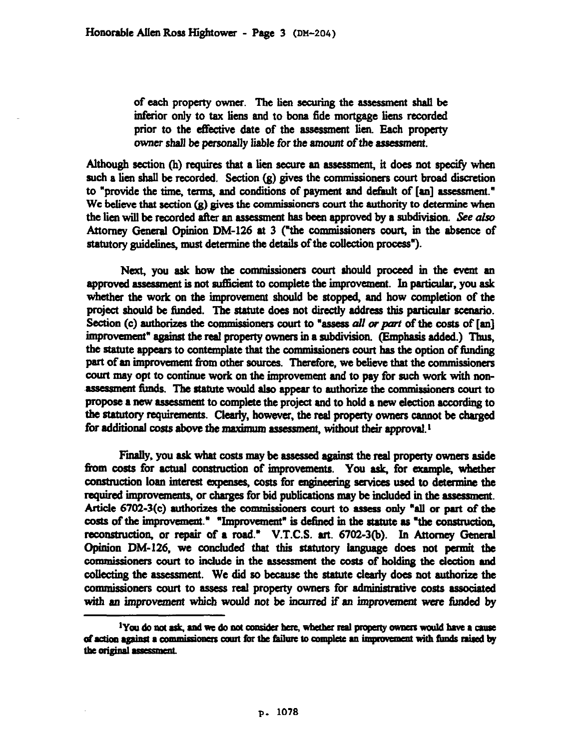of each property owner. The lien securing the assessment &nil be inferior only to tax liens and to bona fide mortgage liens recorded prior to the effective date of the assessment lien. Each property owner shall be personally liable for the amount of the assessment.

Although section (h) requires that a lien secure an assessment, it does not specify when such a lien shall be recorded. Section (g) gives the commissioners court broad discretion to "provide the time, terms, and conditions of payment and default of [an] assessment." We believe that section  $(g)$  gives the commissioners court the authority to determine when the lien will be recorded after an assessment has been approved by a subdivision. See also Attorney General Opinion DM-126 at 3 ("the commissioners court, in the absence of statutory guidelines, must determine the details of the collection process").

Next, you ask how the commissioners court should proceed in the event an approved assessment is not sufficient to complete the improvement. In particular, you ask whether the work on the improvement should be stopped, and how completion of the project should be funded. The statute does not directly address this particular scenario. Section (c) authorizes the commissioners court to "assess all or part of the costs of  $[an]$ **improvement" against the real property owners in** a **subdivision. (Bmphasis added.) Thus,**  the statute appears to contemplate that the commissioners court has the option of funding part of an improvement from other sources. Therefore, we believe that the commissioners court may opt to continue work on the improvement and to pay for such work with nonassessment funds. The statute would also appear to authorize the commissioners court to propose a new assessment to complete the project and to hold a new election according to the statutory requirements. Clearly, however, the real property owners cannot be charged for additional costs above the maximum assessment, without their approval.<sup>1</sup>

Finally, you ask what costs may be assessed against the real property owners aside from costs for actual construction of improvements. You ask, for example, whether construction loan interest expenses, costs for engineering services used to determine the required improvements, or charges for bid publications may be included in the assessment. Article 6702-3(c) authorizes the commissioners court to assess only "all or part of the costs of the improvement." "Improvement" is defined in the statute as "the construction, reconstruction, or repair of a road." V.T.C.S. art. 6702-3(b). In Attorney General Opinion DM-126, we concluded that this statutory language does not permit the commissioners court to include in the assessment the costs of holding the election and collecting the assessment. We did so because the statute clearly does not authorize the commissioners court to assess real property owners for administrative costs associated with an improvement which would not be incurred if an improvement were funded by

<sup>&</sup>lt;sup>1</sup>You do not ask, and we do not consider here, whether real property owners would have a cause of action against a commissioners court for the failure to complete an improvement with funds raised by the original assessment.